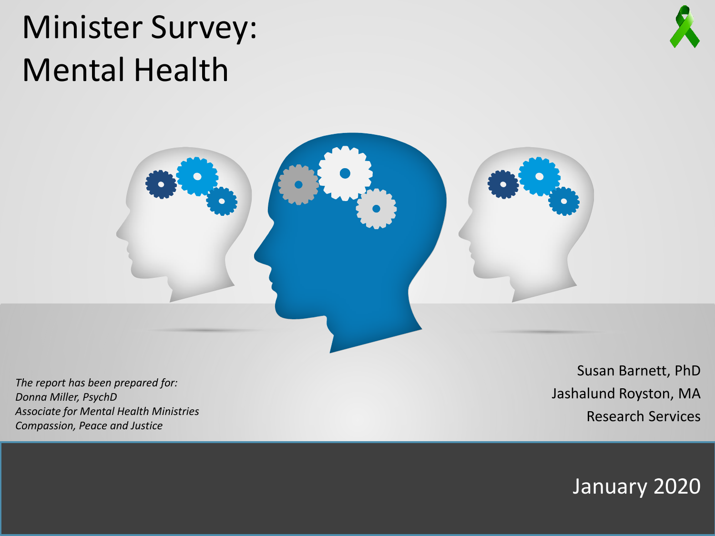# Minister Survey: Mental Health



*The report has been prepared for: Donna Miller, PsychD Associate for Mental Health Ministries Compassion, Peace and Justice*

Susan Barnett, PhD Jashalund Royston, MA Research Services

January 2020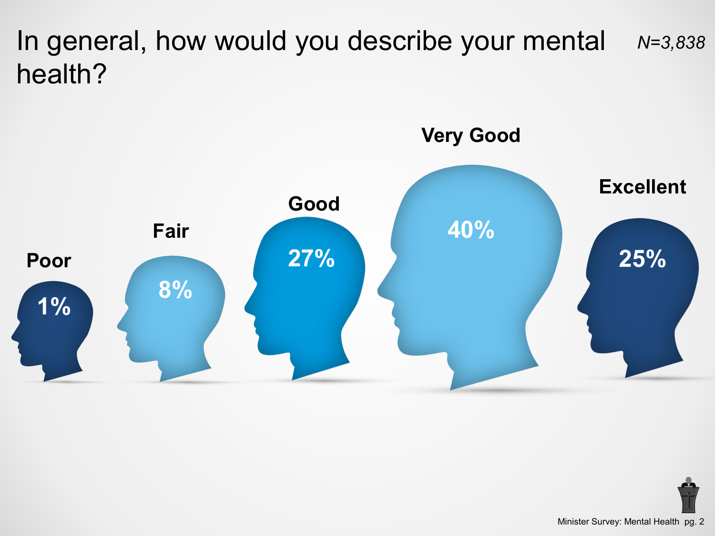In general, how would you describe your mental health? *N=3,838*



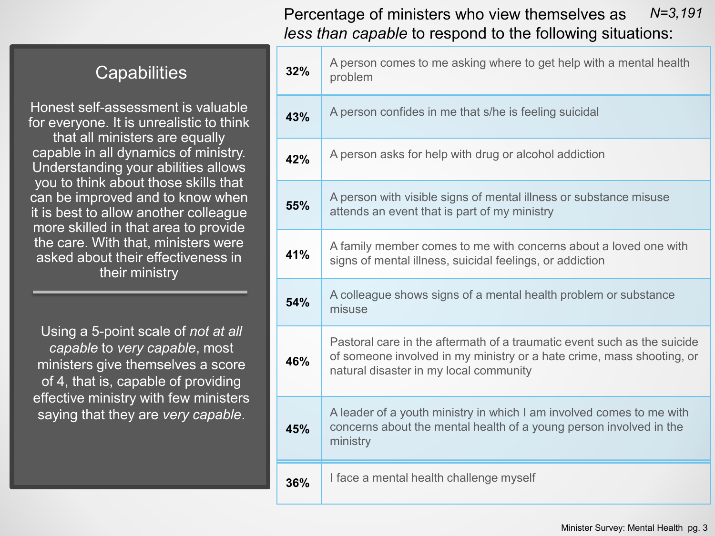#### Percentage of ministers who view themselves as *less than capable* to respond to the following situations: *N=3,191*

#### **Capabilities**

Honest self-assessment is valuable for everyone. It is unrealistic to think that all ministers are equally capable in all dynamics of ministry. Understanding your abilities allows you to think about those skills that can be improved and to know when it is best to allow another colleague more skilled in that area to provide the care. With that, ministers were asked about their effectiveness in their ministry

Using a 5-point scale of *not at all capable* to *very capable*, most ministers give themselves a score of 4, that is, capable of providing effective ministry with few ministers saying that they are *very capable*.

| 32% | A person comes to me asking where to get help with a mental health<br>problem                                                                                                              |
|-----|--------------------------------------------------------------------------------------------------------------------------------------------------------------------------------------------|
| 43% | A person confides in me that s/he is feeling suicidal                                                                                                                                      |
| 42% | A person asks for help with drug or alcohol addiction                                                                                                                                      |
| 55% | A person with visible signs of mental illness or substance misuse<br>attends an event that is part of my ministry                                                                          |
| 41% | A family member comes to me with concerns about a loved one with<br>signs of mental illness, suicidal feelings, or addiction                                                               |
| 54% | A colleague shows signs of a mental health problem or substance<br>misuse                                                                                                                  |
| 46% | Pastoral care in the aftermath of a traumatic event such as the suicide<br>of someone involved in my ministry or a hate crime, mass shooting, or<br>natural disaster in my local community |
| 45% | A leader of a youth ministry in which I am involved comes to me with<br>concerns about the mental health of a young person involved in the<br>ministry                                     |
| 36% | I face a mental health challenge myself                                                                                                                                                    |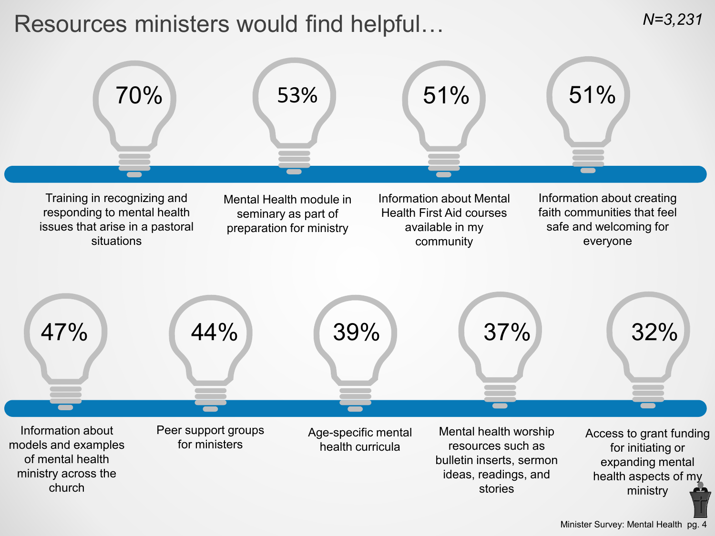# Resources ministers would find helpful…

*N=3,231*

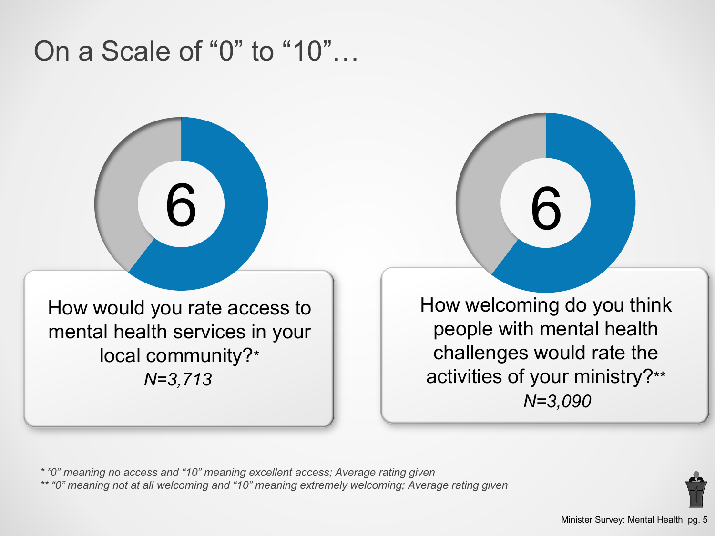# On a Scale of "0" to "10"…

How would you rate access to mental health services in your local community?\* *N=3,713*

6

How welcoming do you think people with mental health challenges would rate the activities of your ministry?\*\* *N=3,090*

6

*\* "0" meaning no access and "10" meaning excellent access; Average rating given \*\* "0" meaning not at all welcoming and "10" meaning extremely welcoming; Average rating given*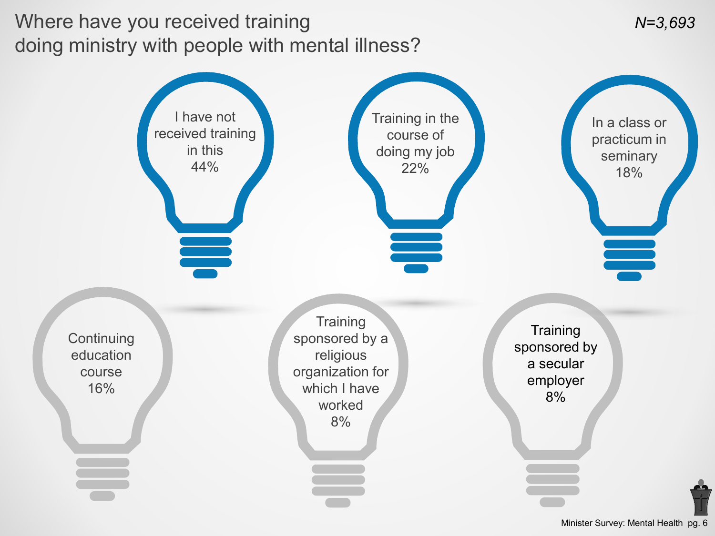## Where have you received training doing ministry with people with mental illness?



Minister Survey: Mental Health pg. 6